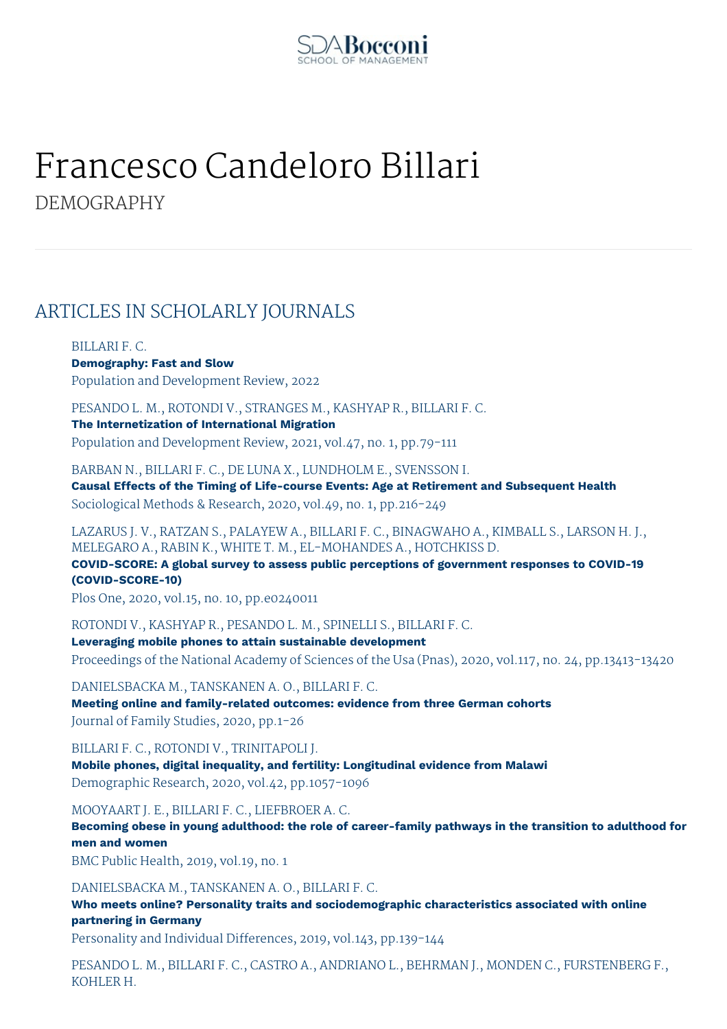

# Francesco Candeloro Billari DEMOGRAPHY

# ARTICLES IN SCHOLARLY JOURNALS

BILLARI F. C. **Demography: Fast and Slow** Population and Development Review, 2022

PESANDO L. M., ROTONDI V., STRANGES M., KASHYAP R., BILLARI F. C. **The Internetization of International Migration**

Population and Development Review, 2021, vol.47, no. 1, pp.79-111

BARBAN N., BILLARI F. C., DE LUNA X., LUNDHOLM E., SVENSSON I. **Causal Effects of the Timing of Life-course Events: Age at Retirement and Subsequent Health** Sociological Methods & Research, 2020, vol.49, no. 1, pp.216-249

LAZARUS J. V., RATZAN S., PALAYEW A., BILLARI F. C., BINAGWAHO A., KIMBALL S., LARSON H. J., MELEGARO A., RABIN K., WHITE T. M., EL-MOHANDES A., HOTCHKISS D. **COVID-SCORE: A global survey to assess public perceptions of government responses to COVID-19 (COVID-SCORE-10)**

Plos One, 2020, vol.15, no. 10, pp.e0240011

ROTONDI V., KASHYAP R., PESANDO L. M., SPINELLI S., BILLARI F. C.

**Leveraging mobile phones to attain sustainable development** Proceedings of the National Academy of Sciences of the Usa (Pnas), 2020, vol.117, no. 24, pp.13413-13420

DANIELSBACKA M., TANSKANEN A. O., BILLARI F. C. **Meeting online and family-related outcomes: evidence from three German cohorts** Journal of Family Studies, 2020, pp.1-26

BILLARI F. C., ROTONDI V., TRINITAPOLI J. **Mobile phones, digital inequality, and fertility: Longitudinal evidence from Malawi** Demographic Research, 2020, vol.42, pp.1057-1096

MOOYAART J. E., BILLARI F. C., LIEFBROER A. C.

**Becoming obese in young adulthood: the role of career-family pathways in the transition to adulthood for men and women**

BMC Public Health, 2019, vol.19, no. 1

DANIELSBACKA M., TANSKANEN A. O., BILLARI F. C.

**Who meets online? Personality traits and sociodemographic characteristics associated with online partnering in Germany**

Personality and Individual Differences, 2019, vol.143, pp.139-144

PESANDO L. M., BILLARI F. C., CASTRO A., ANDRIANO L., BEHRMAN J., MONDEN C., FURSTENBERG F., KOHLER H.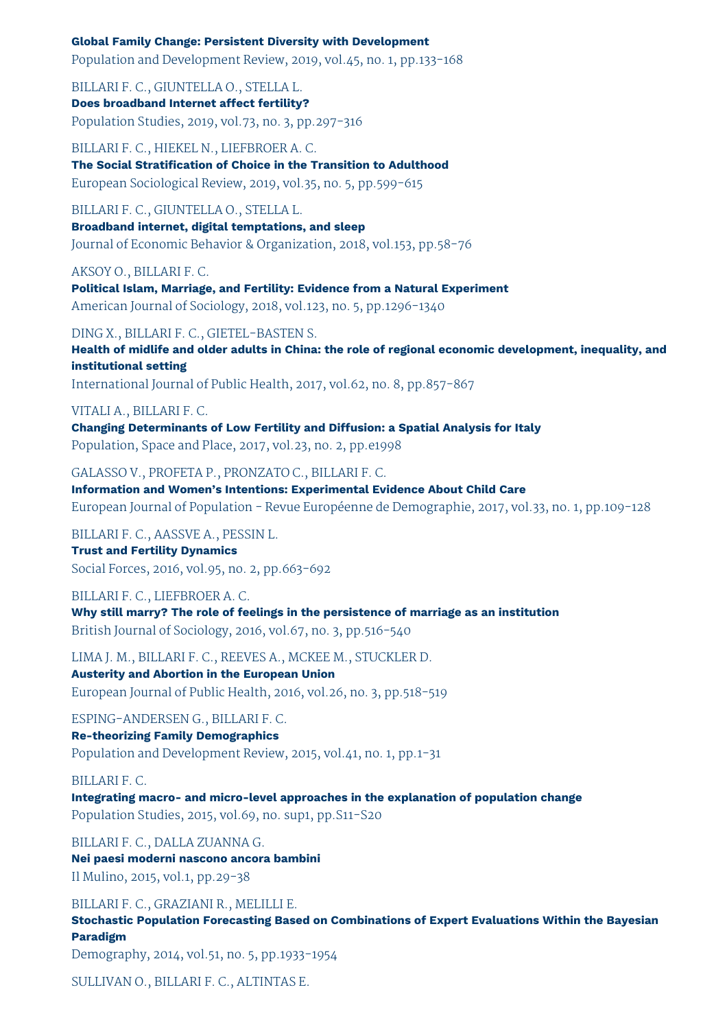#### **Global Family Change: Persistent Diversity with Development**

Population and Development Review, 2019, vol.45, no. 1, pp.133-168

BILLARI F. C., GIUNTELLA O., STELLA L. **Does broadband Internet affect fertility?** Population Studies, 2019, vol.73, no. 3, pp.297-316

BILLARI F. C., HIEKEL N., LIEFBROER A. C. **The Social Stratification of Choice in the Transition to Adulthood** European Sociological Review, 2019, vol.35, no. 5, pp.599-615

BILLARI F. C., GIUNTELLA O., STELLA L.

**Broadband internet, digital temptations, and sleep** Journal of Economic Behavior & Organization, 2018, vol.153, pp.58-76

AKSOY O., BILLARI F. C.

**Political Islam, Marriage, and Fertility: Evidence from a Natural Experiment** American Journal of Sociology, 2018, vol.123, no. 5, pp.1296-1340

DING X., BILLARI F. C., GIETEL-BASTEN S.

**Health of midlife and older adults in China: the role of regional economic development, inequality, and institutional setting** International Journal of Public Health, 2017, vol.62, no. 8, pp.857-867

VITALI A., BILLARI F. C. **Changing Determinants of Low Fertility and Diffusion: a Spatial Analysis for Italy**

Population, Space and Place, 2017, vol.23, no. 2, pp.e1998

GALASSO V., PROFETA P., PRONZATO C., BILLARI F. C. **Information and Women's Intentions: Experimental Evidence About Child Care** European Journal of Population - Revue Européenne de Demographie, 2017, vol.33, no. 1, pp.109-128

BILLARI F. C., AASSVE A., PESSIN L. **Trust and Fertility Dynamics**

Social Forces, 2016, vol.95, no. 2, pp.663-692

BILLARI F. C., LIEFBROER A. C. **Why still marry? The role of feelings in the persistence of marriage as an institution** British Journal of Sociology, 2016, vol.67, no. 3, pp.516-540

LIMA J. M., BILLARI F. C., REEVES A., MCKEE M., STUCKLER D. **Austerity and Abortion in the European Union** European Journal of Public Health, 2016, vol.26, no. 3, pp.518-519

ESPING-ANDERSEN G., BILLARI F. C. **Re-theorizing Family Demographics** Population and Development Review, 2015, vol.41, no. 1, pp.1-31

BILLARI F. C. **Integrating macro- and micro-level approaches in the explanation of population change**

Population Studies, 2015, vol.69, no. sup1, pp.S11-S20

BILLARI F. C., DALLA ZUANNA G. **Nei paesi moderni nascono ancora bambini** Il Mulino, 2015, vol.1, pp.29-38

BILLARI F. C., GRAZIANI R., MELILLI E.

**Stochastic Population Forecasting Based on Combinations of Expert Evaluations Within the Bayesian Paradigm**

Demography, 2014, vol.51, no. 5, pp.1933-1954

SULLIVAN O., BILLARI F. C., ALTINTAS E.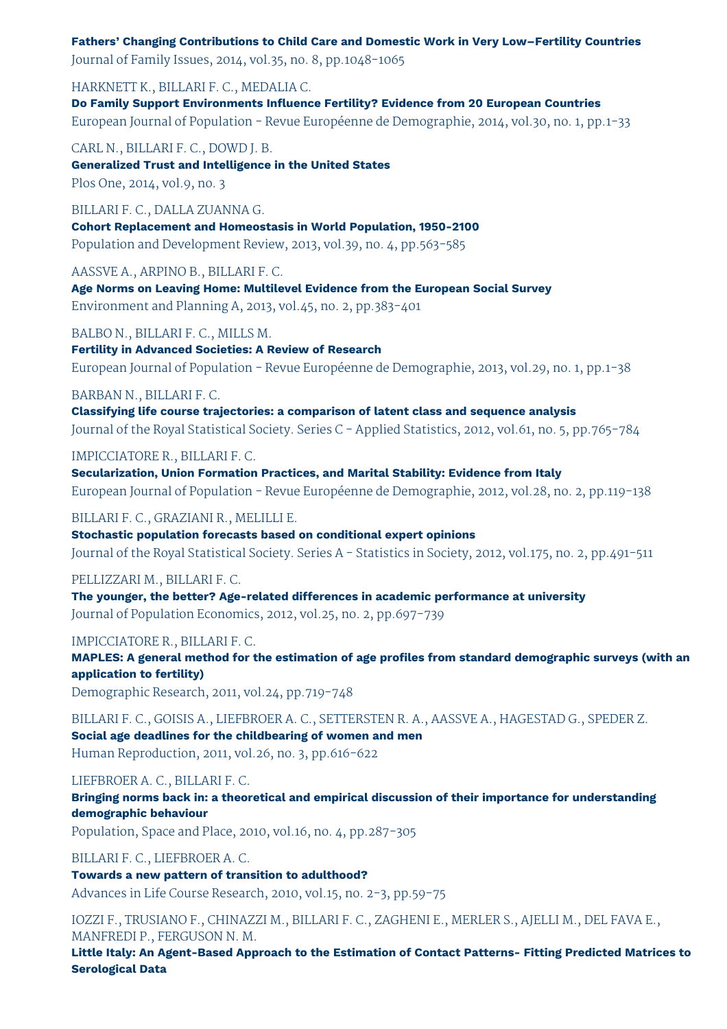**Fathers' Changing Contributions to Child Care and Domestic Work in Very Low–Fertility Countries** Journal of Family Issues, 2014, vol.35, no. 8, pp.1048-1065

HARKNETT K., BILLARI F. C., MEDALIA C.

**Do Family Support Environments Influence Fertility? Evidence from 20 European Countries** European Journal of Population - Revue Européenne de Demographie, 2014, vol.30, no. 1, pp.1-33

CARL N., BILLARI F. C., DOWD J. B. **Generalized Trust and Intelligence in the United States** Plos One, 2014, vol.9, no. 3

BILLARI F. C., DALLA ZUANNA G. **Cohort Replacement and Homeostasis in World Population, 1950-2100** Population and Development Review, 2013, vol.39, no. 4, pp.563-585

AASSVE A., ARPINO B., BILLARI F. C.

**Age Norms on Leaving Home: Multilevel Evidence from the European Social Survey** Environment and Planning A, 2013, vol.45, no. 2, pp.383-401

BALBO N., BILLARI F. C., MILLS M.

**Fertility in Advanced Societies: A Review of Research** European Journal of Population - Revue Européenne de Demographie, 2013, vol.29, no. 1, pp.1-38

#### BARBAN N., BILLARI F. C.

**Classifying life course trajectories: a comparison of latent class and sequence analysis** Journal of the Royal Statistical Society. Series C - Applied Statistics, 2012, vol.61, no. 5, pp.765-784

#### IMPICCIATORE R., BILLARI F. C.

**Secularization, Union Formation Practices, and Marital Stability: Evidence from Italy** European Journal of Population - Revue Européenne de Demographie, 2012, vol.28, no. 2, pp.119-138

#### BILLARI F. C., GRAZIANI R., MELILLI E.

**Stochastic population forecasts based on conditional expert opinions** Journal of the Royal Statistical Society. Series A - Statistics in Society, 2012, vol.175, no. 2, pp.491-511

#### PELLIZZARI M., BILLARI F. C.

**The younger, the better? Age-related differences in academic performance at university** Journal of Population Economics, 2012, vol.25, no. 2, pp.697-739

#### IMPICCIATORE R., BILLARI F. C.

**MAPLES: A general method for the estimation of age profiles from standard demographic surveys (with an application to fertility)**

Demographic Research, 2011, vol.24, pp.719-748

BILLARI F. C., GOISIS A., LIEFBROER A. C., SETTERSTEN R. A., AASSVE A., HAGESTAD G., SPEDER Z. **Social age deadlines for the childbearing of women and men** Human Reproduction, 2011, vol.26, no. 3, pp.616-622

#### LIEFBROER A. C., BILLARI F. C.

**Bringing norms back in: a theoretical and empirical discussion of their importance for understanding demographic behaviour**

Population, Space and Place, 2010, vol.16, no. 4, pp.287-305

BILLARI F. C., LIEFBROER A. C. **Towards a new pattern of transition to adulthood?**

Advances in Life Course Research, 2010, vol.15, no. 2-3, pp.59-75

IOZZI F., TRUSIANO F., CHINAZZI M., BILLARI F. C., ZAGHENI E., MERLER S., AJELLI M., DEL FAVA E., MANFREDI P., FERGUSON N. M.

**Little Italy: An Agent-Based Approach to the Estimation of Contact Patterns- Fitting Predicted Matrices to Serological Data**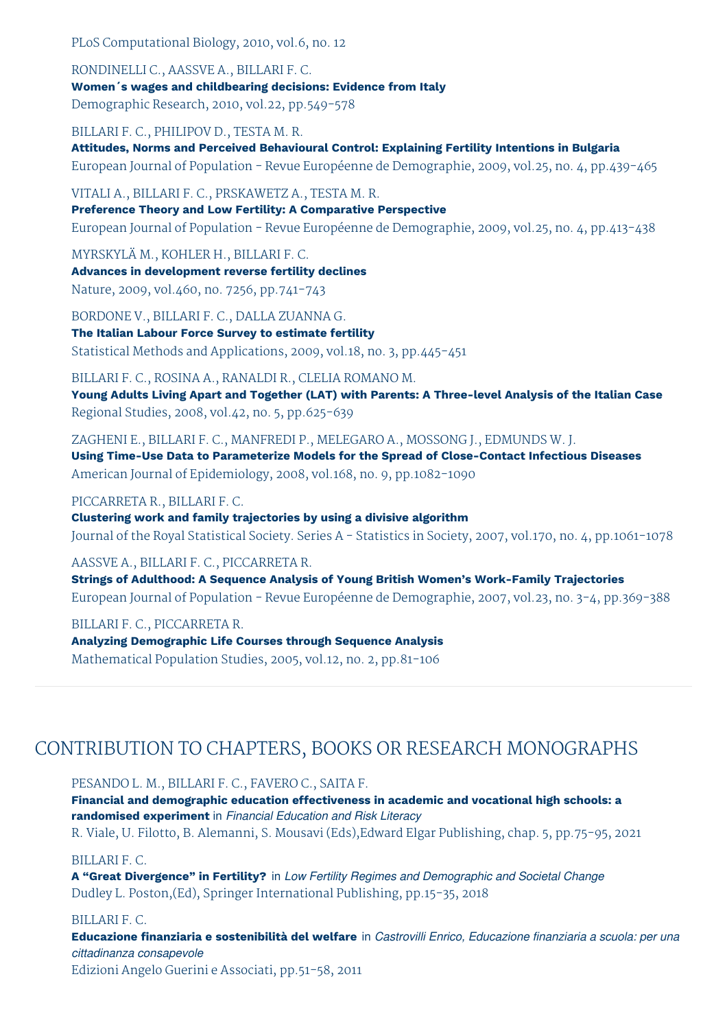PLoS Computational Biology, 2010, vol.6, no. 12

RONDINELLI C., AASSVE A., BILLARI F. C. **Women´s wages and childbearing decisions: Evidence from Italy** Demographic Research, 2010, vol.22, pp.549-578

BILLARI F. C., PHILIPOV D., TESTA M. R.

**Attitudes, Norms and Perceived Behavioural Control: Explaining Fertility Intentions in Bulgaria** European Journal of Population - Revue Européenne de Demographie, 2009, vol.25, no. 4, pp.439-465

VITALI A., BILLARI F. C., PRSKAWETZ A., TESTA M. R. **Preference Theory and Low Fertility: A Comparative Perspective** European Journal of Population - Revue Européenne de Demographie, 2009, vol.25, no. 4, pp.413-438

MYRSKYLÄ M., KOHLER H., BILLARI F. C. **Advances in development reverse fertility declines** Nature, 2009, vol.460, no. 7256, pp.741-743

BORDONE V., BILLARI F. C., DALLA ZUANNA G. **The Italian Labour Force Survey to estimate fertility** Statistical Methods and Applications, 2009, vol.18, no. 3, pp.445-451

BILLARI F. C., ROSINA A., RANALDI R., CLELIA ROMANO M. **Young Adults Living Apart and Together (LAT) with Parents: A Three-level Analysis of the Italian Case** Regional Studies, 2008, vol.42, no. 5, pp.625-639

ZAGHENI E., BILLARI F. C., MANFREDI P., MELEGARO A., MOSSONG J., EDMUNDS W. J. **Using Time-Use Data to Parameterize Models for the Spread of Close-Contact Infectious Diseases** American Journal of Epidemiology, 2008, vol.168, no. 9, pp.1082-1090

PICCARRETA R., BILLARI F. C.

**Clustering work and family trajectories by using a divisive algorithm** Journal of the Royal Statistical Society. Series A - Statistics in Society, 2007, vol.170, no. 4, pp.1061-1078

AASSVE A., BILLARI F. C., PICCARRETA R.

**Strings of Adulthood: A Sequence Analysis of Young British Women's Work-Family Trajectories** European Journal of Population - Revue Européenne de Demographie, 2007, vol.23, no. 3-4, pp.369-388

BILLARI F. C., PICCARRETA R. **Analyzing Demographic Life Courses through Sequence Analysis** Mathematical Population Studies, 2005, vol.12, no. 2, pp.81-106

# CONTRIBUTION TO CHAPTERS, BOOKS OR RESEARCH MONOGRAPHS

PESANDO L. M., BILLARI F. C., FAVERO C., SAITA F.

**Financial and demographic education effectiveness in academic and vocational high schools: a randomised experiment** in *Financial Education and Risk Literacy* R. Viale, U. Filotto, B. Alemanni, S. Mousavi (Eds),Edward Elgar Publishing, chap. 5, pp.75-95, 2021

BILLARI F. C.

**A "Great Divergence" in Fertility?** in *Low Fertility Regimes and Demographic and Societal Change* Dudley L. Poston,(Ed), Springer International Publishing, pp.15-35, 2018

BILLARI F. C.

**Educazione finanziaria e sostenibilità del welfare** in *Castrovilli Enrico, Educazione finanziaria a scuola: per una cittadinanza consapevole*

Edizioni Angelo Guerini e Associati, pp.51-58, 2011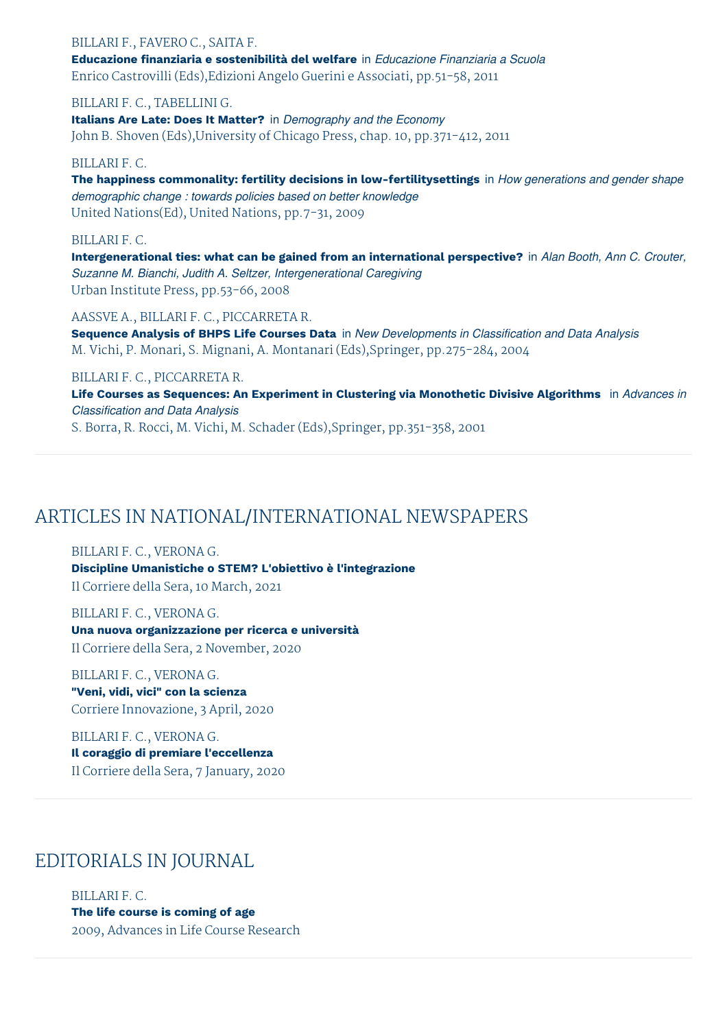#### BILLARI F., FAVERO C., SAITA F. **Educazione finanziaria e sostenibilità del welfare** in *Educazione Finanziaria a Scuola* Enrico Castrovilli (Eds),Edizioni Angelo Guerini e Associati, pp.51-58, 2011

#### BILLARI F. C., TABELLINI G.

**Italians Are Late: Does It Matter?** in *Demography and the Economy* John B. Shoven (Eds),University of Chicago Press, chap. 10, pp.371-412, 2011

#### BILLARI F. C.

**The happiness commonality: fertility decisions in low-fertilitysettings** in *How generations and gender shape demographic change : towards policies based on better knowledge* United Nations(Ed), United Nations, pp.7-31, 2009

#### BILLARI F. C.

**Intergenerational ties: what can be gained from an international perspective?** in *Alan Booth, Ann C. Crouter, Suzanne M. Bianchi, Judith A. Seltzer, Intergenerational Caregiving* Urban Institute Press, pp.53-66, 2008

#### AASSVE A., BILLARI F. C., PICCARRETA R.

**Sequence Analysis of BHPS Life Courses Data** in *New Developments in Classification and Data Analysis* M. Vichi, P. Monari, S. Mignani, A. Montanari (Eds),Springer, pp.275-284, 2004

#### BILLARI F. C., PICCARRETA R.

**Life Courses as Sequences: An Experiment in Clustering via Monothetic Divisive Algorithms** in *Advances in Classification and Data Analysis* S. Borra, R. Rocci, M. Vichi, M. Schader (Eds),Springer, pp.351-358, 2001

# ARTICLES IN NATIONAL/INTERNATIONAL NEWSPAPERS

BILLARI F. C., VERONA G. **Discipline Umanistiche o STEM? L'obiettivo è l'integrazione** Il Corriere della Sera, 10 March, 2021

BILLARI F. C., VERONA G. **Una nuova organizzazione per ricerca e università** Il Corriere della Sera, 2 November, 2020

BILLARI F. C., VERONA G. **"Veni, vidi, vici" con la scienza** Corriere Innovazione, 3 April, 2020

BILLARI F. C., VERONA G. **Il coraggio di premiare l'eccellenza** Il Corriere della Sera, 7 January, 2020

### EDITORIALS IN JOURNAL

BILLARI F. C. **The life course is coming of age** 2009, Advances in Life Course Research